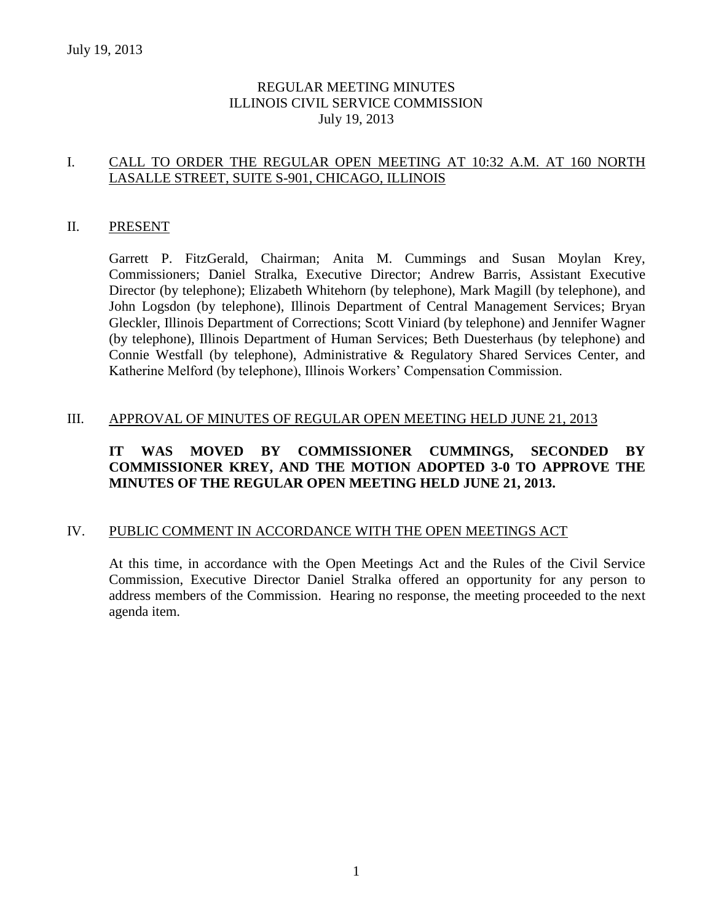# REGULAR MEETING MINUTES ILLINOIS CIVIL SERVICE COMMISSION July 19, 2013

# I. CALL TO ORDER THE REGULAR OPEN MEETING AT 10:32 A.M. AT 160 NORTH LASALLE STREET, SUITE S-901, CHICAGO, ILLINOIS

#### II. PRESENT

Garrett P. FitzGerald, Chairman; Anita M. Cummings and Susan Moylan Krey, Commissioners; Daniel Stralka, Executive Director; Andrew Barris, Assistant Executive Director (by telephone); Elizabeth Whitehorn (by telephone), Mark Magill (by telephone), and John Logsdon (by telephone), Illinois Department of Central Management Services; Bryan Gleckler, Illinois Department of Corrections; Scott Viniard (by telephone) and Jennifer Wagner (by telephone), Illinois Department of Human Services; Beth Duesterhaus (by telephone) and Connie Westfall (by telephone), Administrative & Regulatory Shared Services Center, and Katherine Melford (by telephone), Illinois Workers' Compensation Commission.

#### III. APPROVAL OF MINUTES OF REGULAR OPEN MEETING HELD JUNE 21, 2013

# **IT WAS MOVED BY COMMISSIONER CUMMINGS, SECONDED BY COMMISSIONER KREY, AND THE MOTION ADOPTED 3-0 TO APPROVE THE MINUTES OF THE REGULAR OPEN MEETING HELD JUNE 21, 2013.**

### IV. PUBLIC COMMENT IN ACCORDANCE WITH THE OPEN MEETINGS ACT

At this time, in accordance with the Open Meetings Act and the Rules of the Civil Service Commission, Executive Director Daniel Stralka offered an opportunity for any person to address members of the Commission. Hearing no response, the meeting proceeded to the next agenda item.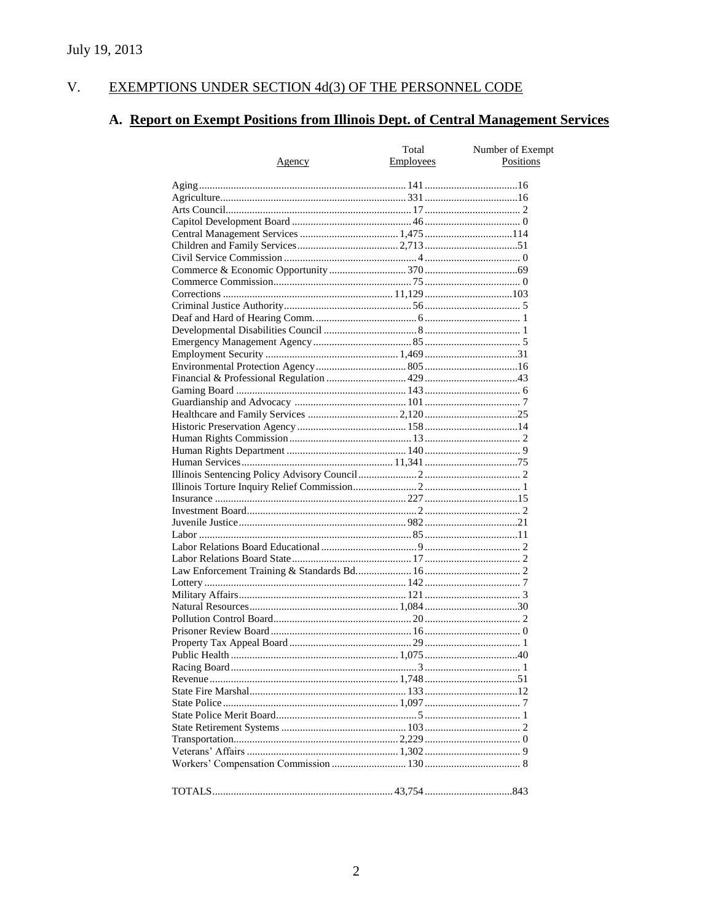#### $V<sub>r</sub>$ EXEMPTIONS UNDER SECTION 4d(3) OF THE PERSONNEL CODE

# A. Report on Exempt Positions from Illinois Dept. of Central Management Services

|               | Total            | Number of Exempt |
|---------------|------------------|------------------|
| <u>Agency</u> | <b>Employees</b> | Positions        |
|               |                  |                  |
|               |                  |                  |
|               |                  |                  |
|               |                  |                  |
|               |                  |                  |
|               |                  |                  |
|               |                  |                  |
|               |                  |                  |
|               |                  |                  |
|               |                  |                  |
|               |                  |                  |
|               |                  |                  |
|               |                  |                  |
|               |                  |                  |
|               |                  |                  |
|               |                  |                  |
|               |                  |                  |
|               |                  |                  |
|               |                  |                  |
|               |                  |                  |
|               |                  |                  |
|               |                  |                  |
|               |                  |                  |
|               |                  |                  |
|               |                  |                  |
|               |                  |                  |
|               |                  |                  |
|               |                  |                  |
|               |                  |                  |
|               |                  |                  |
|               |                  |                  |
|               |                  |                  |
|               |                  |                  |
|               |                  |                  |
|               |                  |                  |
|               |                  |                  |
|               |                  |                  |
|               |                  |                  |
|               |                  |                  |
|               |                  |                  |
|               |                  |                  |
|               |                  |                  |
|               |                  |                  |
|               |                  |                  |
|               |                  |                  |
|               |                  |                  |
|               |                  |                  |
|               |                  |                  |
|               |                  |                  |
|               |                  |                  |
|               |                  |                  |
|               |                  |                  |
|               |                  |                  |
|               |                  |                  |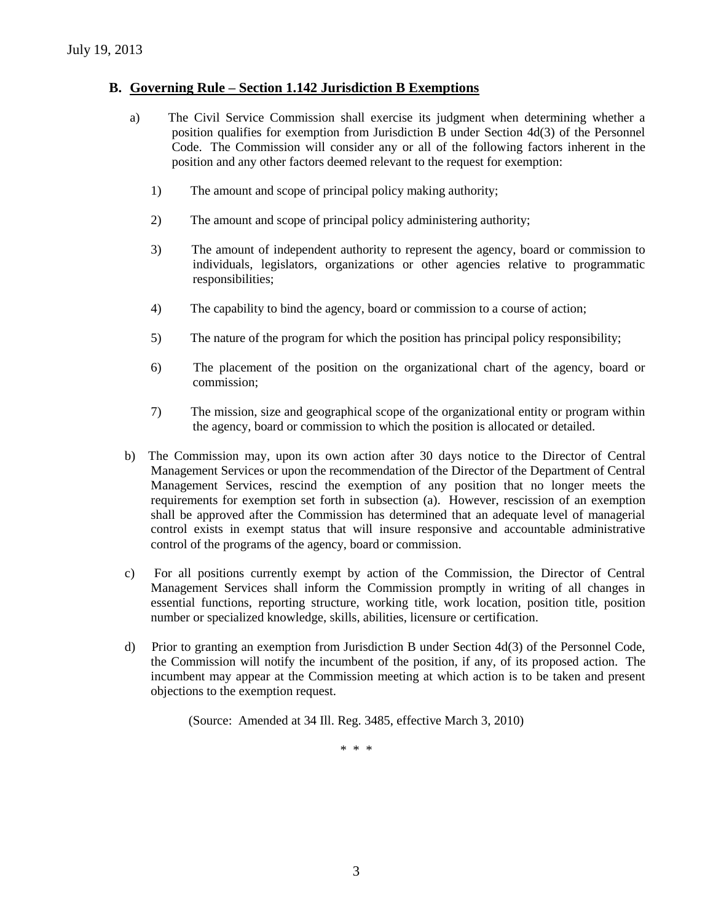## **B. Governing Rule – Section 1.142 Jurisdiction B Exemptions**

- a) The Civil Service Commission shall exercise its judgment when determining whether a position qualifies for exemption from Jurisdiction B under Section 4d(3) of the Personnel Code. The Commission will consider any or all of the following factors inherent in the position and any other factors deemed relevant to the request for exemption:
	- 1) The amount and scope of principal policy making authority;
	- 2) The amount and scope of principal policy administering authority;
	- 3) The amount of independent authority to represent the agency, board or commission to individuals, legislators, organizations or other agencies relative to programmatic responsibilities;
	- 4) The capability to bind the agency, board or commission to a course of action;
	- 5) The nature of the program for which the position has principal policy responsibility;
	- 6) The placement of the position on the organizational chart of the agency, board or commission;
	- 7) The mission, size and geographical scope of the organizational entity or program within the agency, board or commission to which the position is allocated or detailed.
- b) The Commission may, upon its own action after 30 days notice to the Director of Central Management Services or upon the recommendation of the Director of the Department of Central Management Services, rescind the exemption of any position that no longer meets the requirements for exemption set forth in subsection (a). However, rescission of an exemption shall be approved after the Commission has determined that an adequate level of managerial control exists in exempt status that will insure responsive and accountable administrative control of the programs of the agency, board or commission.
- c) For all positions currently exempt by action of the Commission, the Director of Central Management Services shall inform the Commission promptly in writing of all changes in essential functions, reporting structure, working title, work location, position title, position number or specialized knowledge, skills, abilities, licensure or certification.
- d) Prior to granting an exemption from Jurisdiction B under Section 4d(3) of the Personnel Code, the Commission will notify the incumbent of the position, if any, of its proposed action. The incumbent may appear at the Commission meeting at which action is to be taken and present objections to the exemption request.

(Source: Amended at 34 Ill. Reg. 3485, effective March 3, 2010)

\* \* \*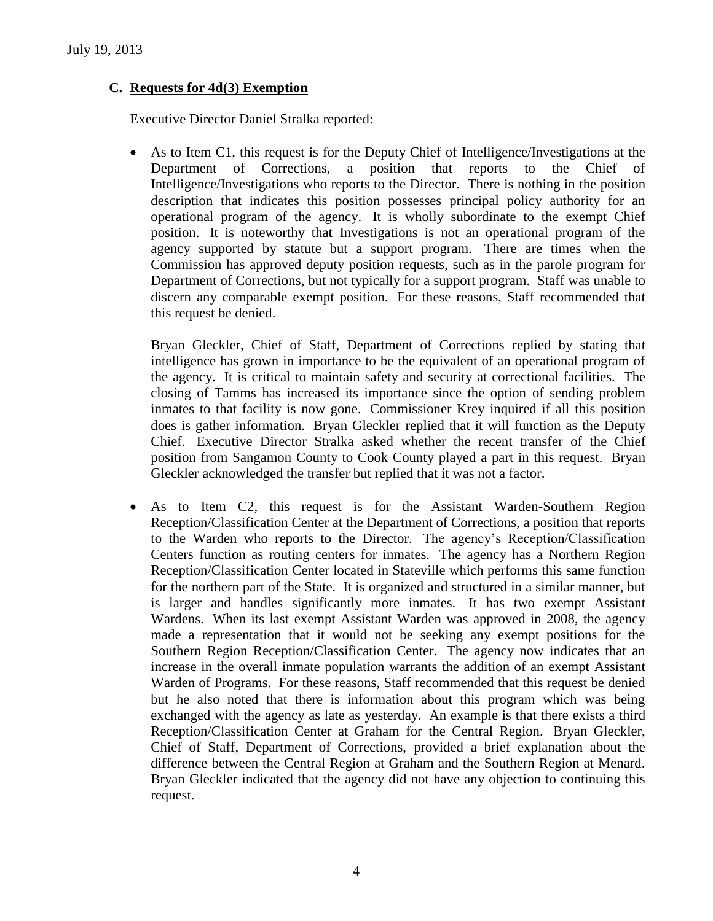## **C. Requests for 4d(3) Exemption**

Executive Director Daniel Stralka reported:

 As to Item C1, this request is for the Deputy Chief of Intelligence/Investigations at the Department of Corrections, a position that reports to the Chief of Intelligence/Investigations who reports to the Director. There is nothing in the position description that indicates this position possesses principal policy authority for an operational program of the agency. It is wholly subordinate to the exempt Chief position. It is noteworthy that Investigations is not an operational program of the agency supported by statute but a support program. There are times when the Commission has approved deputy position requests, such as in the parole program for Department of Corrections, but not typically for a support program. Staff was unable to discern any comparable exempt position. For these reasons, Staff recommended that this request be denied.

Bryan Gleckler, Chief of Staff, Department of Corrections replied by stating that intelligence has grown in importance to be the equivalent of an operational program of the agency. It is critical to maintain safety and security at correctional facilities. The closing of Tamms has increased its importance since the option of sending problem inmates to that facility is now gone. Commissioner Krey inquired if all this position does is gather information. Bryan Gleckler replied that it will function as the Deputy Chief. Executive Director Stralka asked whether the recent transfer of the Chief position from Sangamon County to Cook County played a part in this request. Bryan Gleckler acknowledged the transfer but replied that it was not a factor.

 As to Item C2, this request is for the Assistant Warden-Southern Region Reception/Classification Center at the Department of Corrections, a position that reports to the Warden who reports to the Director. The agency's Reception/Classification Centers function as routing centers for inmates. The agency has a Northern Region Reception/Classification Center located in Stateville which performs this same function for the northern part of the State. It is organized and structured in a similar manner, but is larger and handles significantly more inmates. It has two exempt Assistant Wardens. When its last exempt Assistant Warden was approved in 2008, the agency made a representation that it would not be seeking any exempt positions for the Southern Region Reception/Classification Center. The agency now indicates that an increase in the overall inmate population warrants the addition of an exempt Assistant Warden of Programs. For these reasons, Staff recommended that this request be denied but he also noted that there is information about this program which was being exchanged with the agency as late as yesterday. An example is that there exists a third Reception/Classification Center at Graham for the Central Region. Bryan Gleckler, Chief of Staff, Department of Corrections, provided a brief explanation about the difference between the Central Region at Graham and the Southern Region at Menard. Bryan Gleckler indicated that the agency did not have any objection to continuing this request.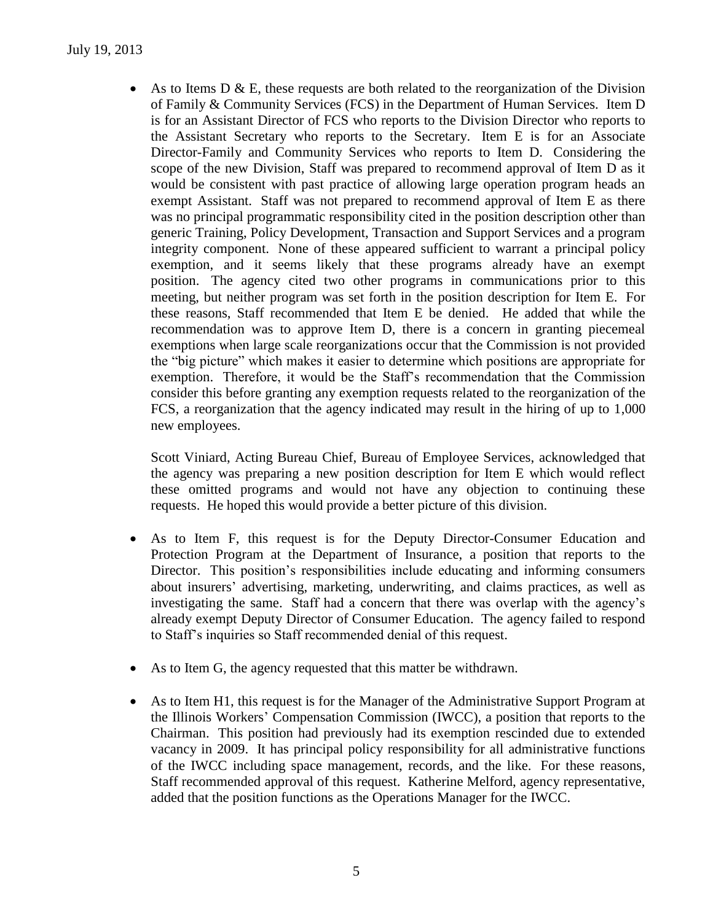As to Items D & E, these requests are both related to the reorganization of the Division of Family & Community Services (FCS) in the Department of Human Services. Item D is for an Assistant Director of FCS who reports to the Division Director who reports to the Assistant Secretary who reports to the Secretary. Item E is for an Associate Director-Family and Community Services who reports to Item D. Considering the scope of the new Division, Staff was prepared to recommend approval of Item D as it would be consistent with past practice of allowing large operation program heads an exempt Assistant. Staff was not prepared to recommend approval of Item E as there was no principal programmatic responsibility cited in the position description other than generic Training, Policy Development, Transaction and Support Services and a program integrity component. None of these appeared sufficient to warrant a principal policy exemption, and it seems likely that these programs already have an exempt position. The agency cited two other programs in communications prior to this meeting, but neither program was set forth in the position description for Item E. For these reasons, Staff recommended that Item E be denied. He added that while the recommendation was to approve Item D, there is a concern in granting piecemeal exemptions when large scale reorganizations occur that the Commission is not provided the "big picture" which makes it easier to determine which positions are appropriate for exemption. Therefore, it would be the Staff's recommendation that the Commission consider this before granting any exemption requests related to the reorganization of the FCS, a reorganization that the agency indicated may result in the hiring of up to 1,000 new employees.

Scott Viniard, Acting Bureau Chief, Bureau of Employee Services, acknowledged that the agency was preparing a new position description for Item E which would reflect these omitted programs and would not have any objection to continuing these requests. He hoped this would provide a better picture of this division.

- As to Item F, this request is for the Deputy Director-Consumer Education and Protection Program at the Department of Insurance, a position that reports to the Director. This position's responsibilities include educating and informing consumers about insurers' advertising, marketing, underwriting, and claims practices, as well as investigating the same. Staff had a concern that there was overlap with the agency's already exempt Deputy Director of Consumer Education. The agency failed to respond to Staff's inquiries so Staff recommended denial of this request.
- As to Item G, the agency requested that this matter be withdrawn.
- As to Item H1, this request is for the Manager of the Administrative Support Program at the Illinois Workers' Compensation Commission (IWCC), a position that reports to the Chairman. This position had previously had its exemption rescinded due to extended vacancy in 2009. It has principal policy responsibility for all administrative functions of the IWCC including space management, records, and the like. For these reasons, Staff recommended approval of this request. Katherine Melford, agency representative, added that the position functions as the Operations Manager for the IWCC.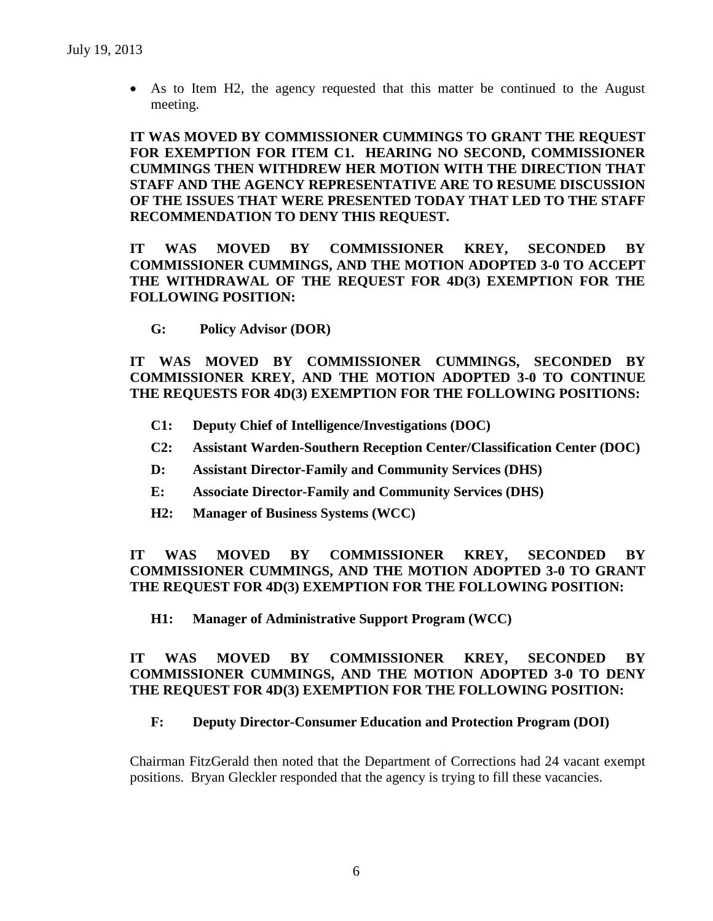As to Item H2, the agency requested that this matter be continued to the August meeting.

**IT WAS MOVED BY COMMISSIONER CUMMINGS TO GRANT THE REQUEST FOR EXEMPTION FOR ITEM C1. HEARING NO SECOND, COMMISSIONER CUMMINGS THEN WITHDREW HER MOTION WITH THE DIRECTION THAT STAFF AND THE AGENCY REPRESENTATIVE ARE TO RESUME DISCUSSION OF THE ISSUES THAT WERE PRESENTED TODAY THAT LED TO THE STAFF RECOMMENDATION TO DENY THIS REQUEST.**

**IT WAS MOVED BY COMMISSIONER KREY, SECONDED BY COMMISSIONER CUMMINGS, AND THE MOTION ADOPTED 3-0 TO ACCEPT THE WITHDRAWAL OF THE REQUEST FOR 4D(3) EXEMPTION FOR THE FOLLOWING POSITION:**

**G: Policy Advisor (DOR)**

**IT WAS MOVED BY COMMISSIONER CUMMINGS, SECONDED BY COMMISSIONER KREY, AND THE MOTION ADOPTED 3-0 TO CONTINUE THE REQUESTS FOR 4D(3) EXEMPTION FOR THE FOLLOWING POSITIONS:**

- **C1: Deputy Chief of Intelligence/Investigations (DOC)**
- **C2: Assistant Warden-Southern Reception Center/Classification Center (DOC)**
- **D: Assistant Director-Family and Community Services (DHS)**
- **E: Associate Director-Family and Community Services (DHS)**
- **H2: Manager of Business Systems (WCC)**

**IT WAS MOVED BY COMMISSIONER KREY, SECONDED BY COMMISSIONER CUMMINGS, AND THE MOTION ADOPTED 3-0 TO GRANT THE REQUEST FOR 4D(3) EXEMPTION FOR THE FOLLOWING POSITION:**

**H1: Manager of Administrative Support Program (WCC)**

# **IT WAS MOVED BY COMMISSIONER KREY, SECONDED BY COMMISSIONER CUMMINGS, AND THE MOTION ADOPTED 3-0 TO DENY THE REQUEST FOR 4D(3) EXEMPTION FOR THE FOLLOWING POSITION:**

#### **F: Deputy Director-Consumer Education and Protection Program (DOI)**

Chairman FitzGerald then noted that the Department of Corrections had 24 vacant exempt positions. Bryan Gleckler responded that the agency is trying to fill these vacancies.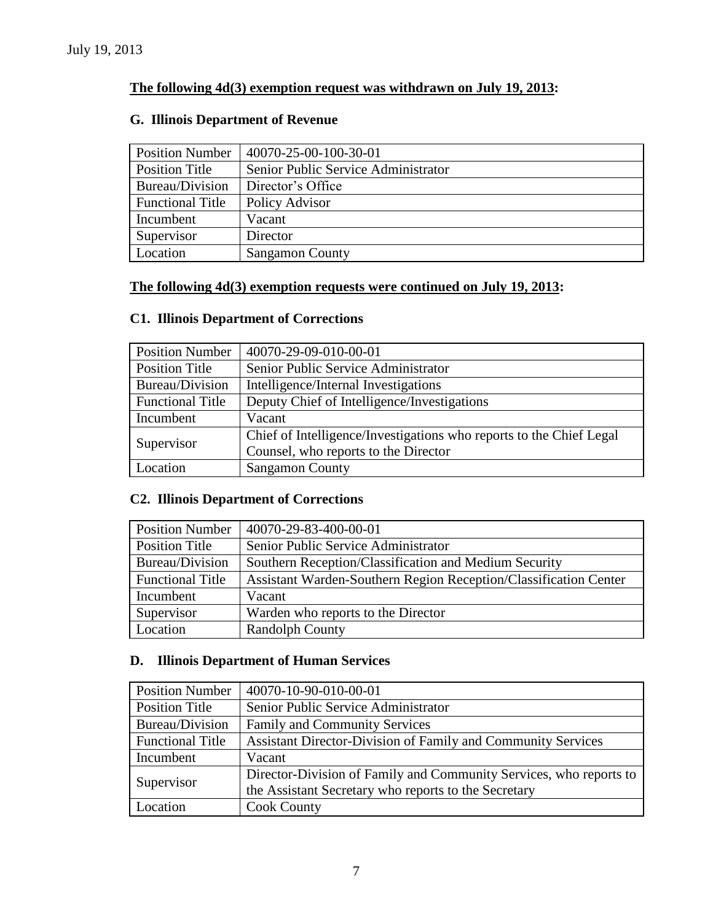# **The following 4d(3) exemption request was withdrawn on July 19, 2013:**

# **G. Illinois Department of Revenue**

| <b>Position Number</b>  | 40070-25-00-100-30-01               |  |
|-------------------------|-------------------------------------|--|
| <b>Position Title</b>   | Senior Public Service Administrator |  |
| Bureau/Division         | Director's Office                   |  |
| <b>Functional Title</b> | Policy Advisor                      |  |
| Incumbent               | Vacant                              |  |
| Supervisor              | Director                            |  |
| Location                | <b>Sangamon County</b>              |  |

# **The following 4d(3) exemption requests were continued on July 19, 2013:**

# **C1. Illinois Department of Corrections**

| <b>Position Number</b>  | 40070-29-09-010-00-01                                               |  |  |
|-------------------------|---------------------------------------------------------------------|--|--|
| <b>Position Title</b>   | Senior Public Service Administrator                                 |  |  |
| Bureau/Division         | Intelligence/Internal Investigations                                |  |  |
| <b>Functional Title</b> | Deputy Chief of Intelligence/Investigations                         |  |  |
| Incumbent               | Vacant                                                              |  |  |
|                         | Chief of Intelligence/Investigations who reports to the Chief Legal |  |  |
| Supervisor              | Counsel, who reports to the Director                                |  |  |
| Location                | <b>Sangamon County</b>                                              |  |  |

# **C2. Illinois Department of Corrections**

| <b>Position Number</b>  | 40070-29-83-400-00-01                                            |
|-------------------------|------------------------------------------------------------------|
| <b>Position Title</b>   | Senior Public Service Administrator                              |
| Bureau/Division         | Southern Reception/Classification and Medium Security            |
| <b>Functional Title</b> | Assistant Warden-Southern Region Reception/Classification Center |
| Incumbent               | Vacant                                                           |
| Supervisor              | Warden who reports to the Director                               |
| Location                | <b>Randolph County</b>                                           |

# **D. Illinois Department of Human Services**

| <b>Position Number</b>  | 40070-10-90-010-00-01                                              |  |  |
|-------------------------|--------------------------------------------------------------------|--|--|
| <b>Position Title</b>   | Senior Public Service Administrator                                |  |  |
| Bureau/Division         | <b>Family and Community Services</b>                               |  |  |
| <b>Functional Title</b> | Assistant Director-Division of Family and Community Services       |  |  |
| Incumbent               | Vacant                                                             |  |  |
|                         | Director-Division of Family and Community Services, who reports to |  |  |
| Supervisor              | the Assistant Secretary who reports to the Secretary               |  |  |
| Location                | <b>Cook County</b>                                                 |  |  |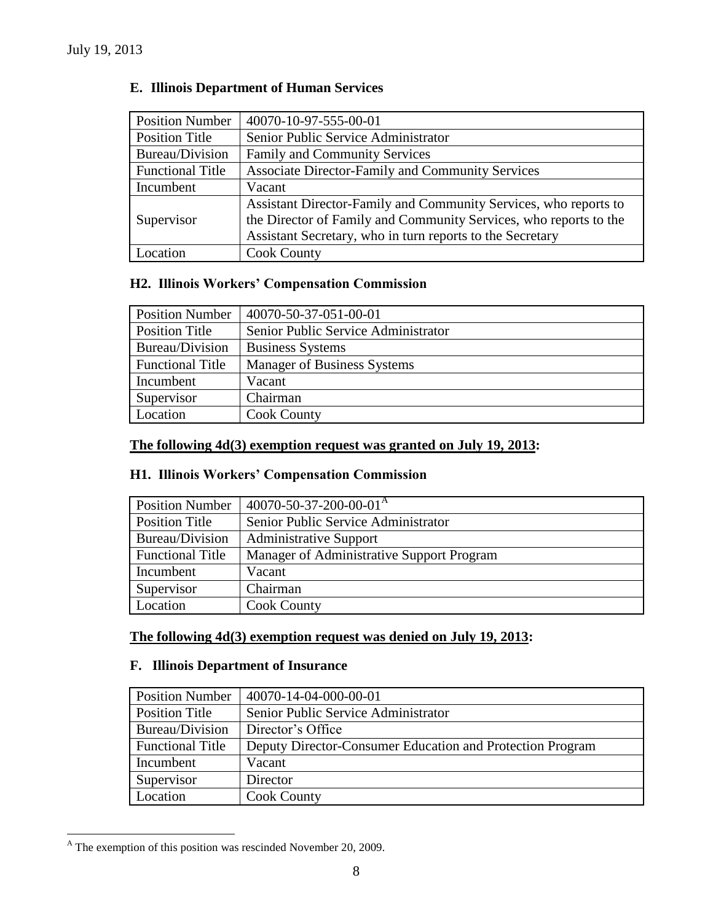| <b>Position Number</b>  | 40070-10-97-555-00-01                                             |  |  |
|-------------------------|-------------------------------------------------------------------|--|--|
| Position Title          | Senior Public Service Administrator                               |  |  |
| Bureau/Division         | <b>Family and Community Services</b>                              |  |  |
| <b>Functional Title</b> | <b>Associate Director-Family and Community Services</b>           |  |  |
| Incumbent               | Vacant                                                            |  |  |
|                         | Assistant Director-Family and Community Services, who reports to  |  |  |
| Supervisor              | the Director of Family and Community Services, who reports to the |  |  |
|                         | Assistant Secretary, who in turn reports to the Secretary         |  |  |
| Location                | <b>Cook County</b>                                                |  |  |

# **E. Illinois Department of Human Services**

# **H2. Illinois Workers' Compensation Commission**

| <b>Position Number</b>  | 40070-50-37-051-00-01               |  |
|-------------------------|-------------------------------------|--|
| <b>Position Title</b>   | Senior Public Service Administrator |  |
| Bureau/Division         | <b>Business Systems</b>             |  |
| <b>Functional Title</b> | <b>Manager of Business Systems</b>  |  |
| Incumbent               | Vacant                              |  |
| Supervisor              | Chairman                            |  |
| Location                | <b>Cook County</b>                  |  |

# **The following 4d(3) exemption request was granted on July 19, 2013:**

# **H1. Illinois Workers' Compensation Commission**

| <b>Position Number</b>  | $40070 - 50 - 37 - 200 - 00 - 01$ <sup>A</sup> |  |
|-------------------------|------------------------------------------------|--|
| Position Title          | Senior Public Service Administrator            |  |
| Bureau/Division         | <b>Administrative Support</b>                  |  |
| <b>Functional Title</b> | Manager of Administrative Support Program      |  |
| Incumbent               | Vacant                                         |  |
| Supervisor              | Chairman                                       |  |
| Location                | <b>Cook County</b>                             |  |

### **The following 4d(3) exemption request was denied on July 19, 2013:**

## **F. Illinois Department of Insurance**

| <b>Position Number</b>  | 40070-14-04-000-00-01                                     |
|-------------------------|-----------------------------------------------------------|
| Position Title          | Senior Public Service Administrator                       |
| Bureau/Division         | Director's Office                                         |
| <b>Functional Title</b> | Deputy Director-Consumer Education and Protection Program |
| Incumbent               | Vacant                                                    |
| Supervisor              | Director                                                  |
| Location                | <b>Cook County</b>                                        |

 $^{\text{A}}$  The exemption of this position was rescinded November 20, 2009.

 $\overline{a}$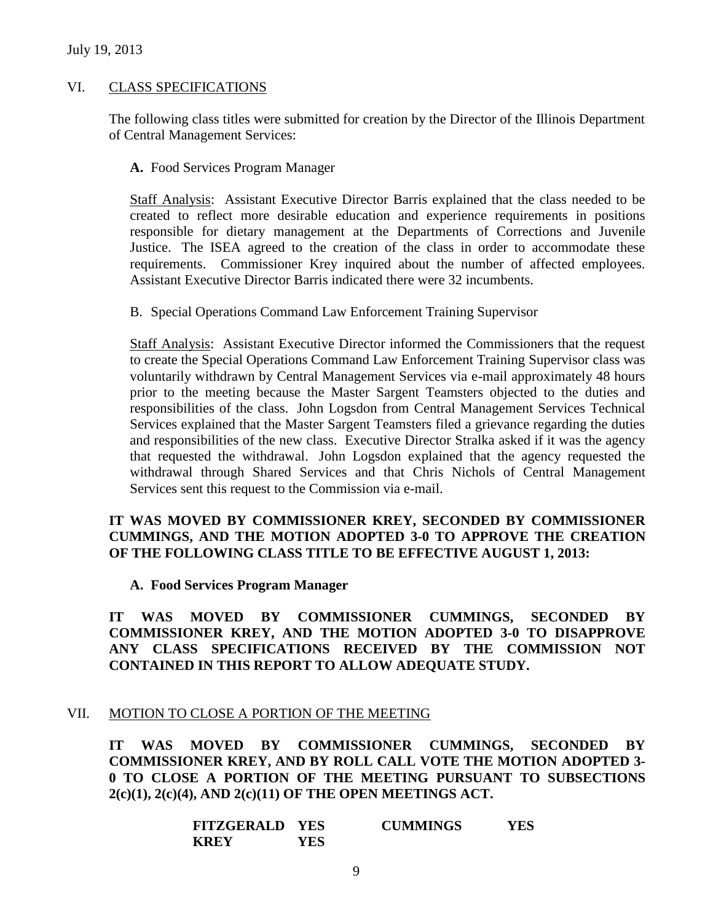#### July 19, 2013

#### VI. CLASS SPECIFICATIONS

The following class titles were submitted for creation by the Director of the Illinois Department of Central Management Services:

**A.** Food Services Program Manager

Staff Analysis: Assistant Executive Director Barris explained that the class needed to be created to reflect more desirable education and experience requirements in positions responsible for dietary management at the Departments of Corrections and Juvenile Justice. The ISEA agreed to the creation of the class in order to accommodate these requirements. Commissioner Krey inquired about the number of affected employees. Assistant Executive Director Barris indicated there were 32 incumbents.

B. Special Operations Command Law Enforcement Training Supervisor

Staff Analysis: Assistant Executive Director informed the Commissioners that the request to create the Special Operations Command Law Enforcement Training Supervisor class was voluntarily withdrawn by Central Management Services via e-mail approximately 48 hours prior to the meeting because the Master Sargent Teamsters objected to the duties and responsibilities of the class. John Logsdon from Central Management Services Technical Services explained that the Master Sargent Teamsters filed a grievance regarding the duties and responsibilities of the new class. Executive Director Stralka asked if it was the agency that requested the withdrawal. John Logsdon explained that the agency requested the withdrawal through Shared Services and that Chris Nichols of Central Management Services sent this request to the Commission via e-mail.

## **IT WAS MOVED BY COMMISSIONER KREY, SECONDED BY COMMISSIONER CUMMINGS, AND THE MOTION ADOPTED 3-0 TO APPROVE THE CREATION OF THE FOLLOWING CLASS TITLE TO BE EFFECTIVE AUGUST 1, 2013:**

**A. Food Services Program Manager**

**IT WAS MOVED BY COMMISSIONER CUMMINGS, SECONDED BY COMMISSIONER KREY, AND THE MOTION ADOPTED 3-0 TO DISAPPROVE ANY CLASS SPECIFICATIONS RECEIVED BY THE COMMISSION NOT CONTAINED IN THIS REPORT TO ALLOW ADEQUATE STUDY.** 

### VII. MOTION TO CLOSE A PORTION OF THE MEETING

**IT WAS MOVED BY COMMISSIONER CUMMINGS, SECONDED BY COMMISSIONER KREY, AND BY ROLL CALL VOTE THE MOTION ADOPTED 3- 0 TO CLOSE A PORTION OF THE MEETING PURSUANT TO SUBSECTIONS 2(c)(1), 2(c)(4), AND 2(c)(11) OF THE OPEN MEETINGS ACT.**

| <b>FITZGERALD YES</b> |     | <b>CUMMINGS</b> | YES |
|-----------------------|-----|-----------------|-----|
| <b>KREY</b>           | YES |                 |     |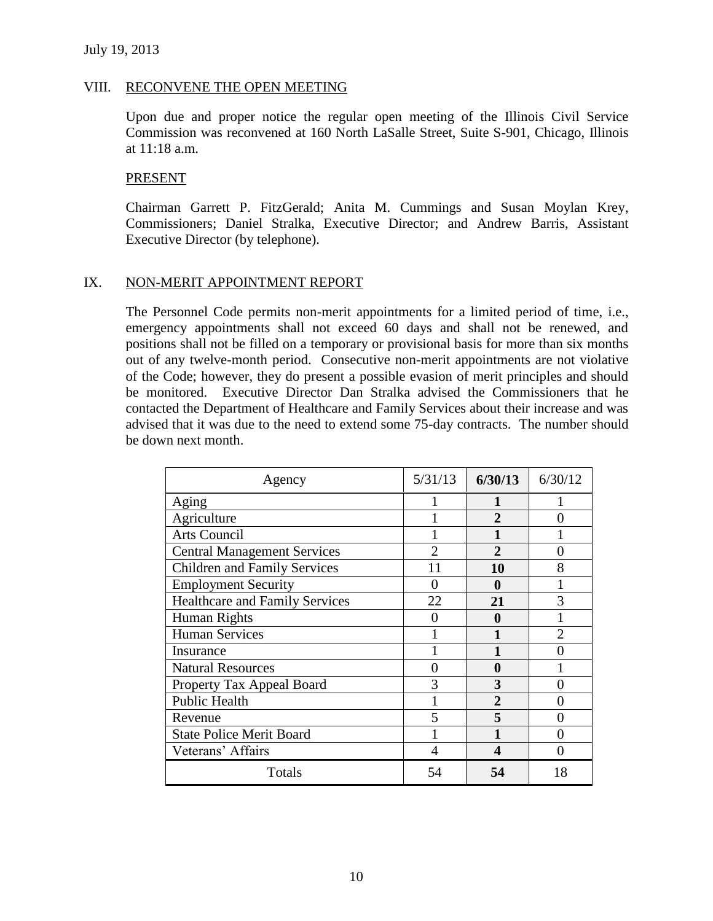## VIII. RECONVENE THE OPEN MEETING

Upon due and proper notice the regular open meeting of the Illinois Civil Service Commission was reconvened at 160 North LaSalle Street, Suite S-901, Chicago, Illinois at 11:18 a.m.

## PRESENT

Chairman Garrett P. FitzGerald; Anita M. Cummings and Susan Moylan Krey, Commissioners; Daniel Stralka, Executive Director; and Andrew Barris, Assistant Executive Director (by telephone).

# IX. NON-MERIT APPOINTMENT REPORT

The Personnel Code permits non-merit appointments for a limited period of time, i.e., emergency appointments shall not exceed 60 days and shall not be renewed, and positions shall not be filled on a temporary or provisional basis for more than six months out of any twelve-month period. Consecutive non-merit appointments are not violative of the Code; however, they do present a possible evasion of merit principles and should be monitored. Executive Director Dan Stralka advised the Commissioners that he contacted the Department of Healthcare and Family Services about their increase and was advised that it was due to the need to extend some 75-day contracts. The number should be down next month.

| Agency                                | 5/31/13        | 6/30/13        | 6/30/12                     |
|---------------------------------------|----------------|----------------|-----------------------------|
| Aging                                 |                |                |                             |
| Agriculture                           |                | 2              |                             |
| Arts Council                          |                |                |                             |
| <b>Central Management Services</b>    | $\overline{2}$ | $\overline{2}$ |                             |
| <b>Children and Family Services</b>   | 11             | 10             | 8                           |
| <b>Employment Security</b>            | 0              | 0              |                             |
| <b>Healthcare and Family Services</b> | 22             | 21             | 3                           |
| Human Rights                          |                | 0              |                             |
| <b>Human Services</b>                 |                |                | $\mathcal{D}_{\mathcal{L}}$ |
| Insurance                             |                |                |                             |
| <b>Natural Resources</b>              |                | 0              |                             |
| Property Tax Appeal Board             |                | 3              |                             |
| <b>Public Health</b>                  |                | 2              |                             |
| Revenue                               |                | 5              |                             |
| <b>State Police Merit Board</b>       |                |                |                             |
| Veterans' Affairs                     |                | Δ              |                             |
| Totals                                | 54             | 54             | 18                          |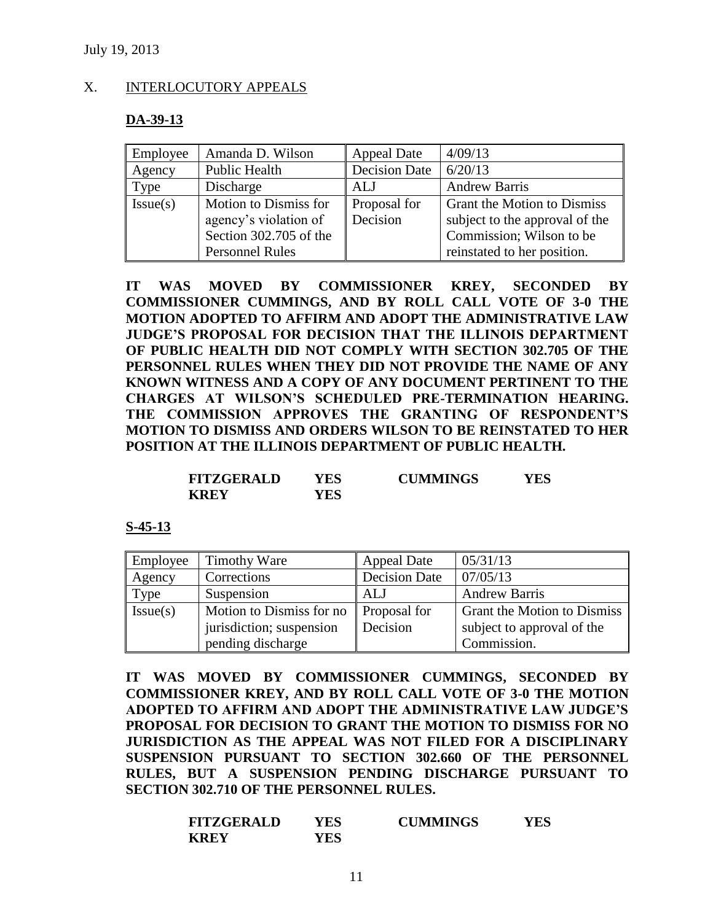## X. INTERLOCUTORY APPEALS

#### **DA-39-13**

| Employee | Amanda D. Wilson       | Appeal Date          | 4/09/13                            |
|----------|------------------------|----------------------|------------------------------------|
| Agency   | <b>Public Health</b>   | <b>Decision Date</b> | 6/20/13                            |
| Type     | Discharge              | ALJ                  | <b>Andrew Barris</b>               |
| Issue(s) | Motion to Dismiss for  | Proposal for         | <b>Grant the Motion to Dismiss</b> |
|          | agency's violation of  | Decision             | subject to the approval of the     |
|          | Section 302.705 of the |                      | Commission; Wilson to be           |
|          | <b>Personnel Rules</b> |                      | reinstated to her position.        |

**IT WAS MOVED BY COMMISSIONER KREY, SECONDED BY COMMISSIONER CUMMINGS, AND BY ROLL CALL VOTE OF 3-0 THE MOTION ADOPTED TO AFFIRM AND ADOPT THE ADMINISTRATIVE LAW JUDGE'S PROPOSAL FOR DECISION THAT THE ILLINOIS DEPARTMENT OF PUBLIC HEALTH DID NOT COMPLY WITH SECTION 302.705 OF THE PERSONNEL RULES WHEN THEY DID NOT PROVIDE THE NAME OF ANY KNOWN WITNESS AND A COPY OF ANY DOCUMENT PERTINENT TO THE CHARGES AT WILSON'S SCHEDULED PRE-TERMINATION HEARING. THE COMMISSION APPROVES THE GRANTING OF RESPONDENT'S MOTION TO DISMISS AND ORDERS WILSON TO BE REINSTATED TO HER POSITION AT THE ILLINOIS DEPARTMENT OF PUBLIC HEALTH.**

| <b>FITZGERALD</b> | YES | <b>CUMMINGS</b> | YES |
|-------------------|-----|-----------------|-----|
| <b>KREY</b>       | YES |                 |     |

#### **S-45-13**

| Employee | <b>Timothy Ware</b>      | <b>Appeal Date</b>   | 05/31/13                           |
|----------|--------------------------|----------------------|------------------------------------|
| Agency   | Corrections              | <b>Decision Date</b> | 07/05/13                           |
| Type     | Suspension               | ALJ                  | <b>Andrew Barris</b>               |
| Issue(s) | Motion to Dismiss for no | Proposal for         | <b>Grant the Motion to Dismiss</b> |
|          | jurisdiction; suspension | Decision             | subject to approval of the         |
|          | pending discharge        |                      | Commission.                        |

**IT WAS MOVED BY COMMISSIONER CUMMINGS, SECONDED BY COMMISSIONER KREY, AND BY ROLL CALL VOTE OF 3-0 THE MOTION ADOPTED TO AFFIRM AND ADOPT THE ADMINISTRATIVE LAW JUDGE'S PROPOSAL FOR DECISION TO GRANT THE MOTION TO DISMISS FOR NO JURISDICTION AS THE APPEAL WAS NOT FILED FOR A DISCIPLINARY SUSPENSION PURSUANT TO SECTION 302.660 OF THE PERSONNEL RULES, BUT A SUSPENSION PENDING DISCHARGE PURSUANT TO SECTION 302.710 OF THE PERSONNEL RULES.**

| <b>FITZGERALD</b> | YES | <b>CUMMINGS</b> | YES |
|-------------------|-----|-----------------|-----|
| <b>KREY</b>       | YES |                 |     |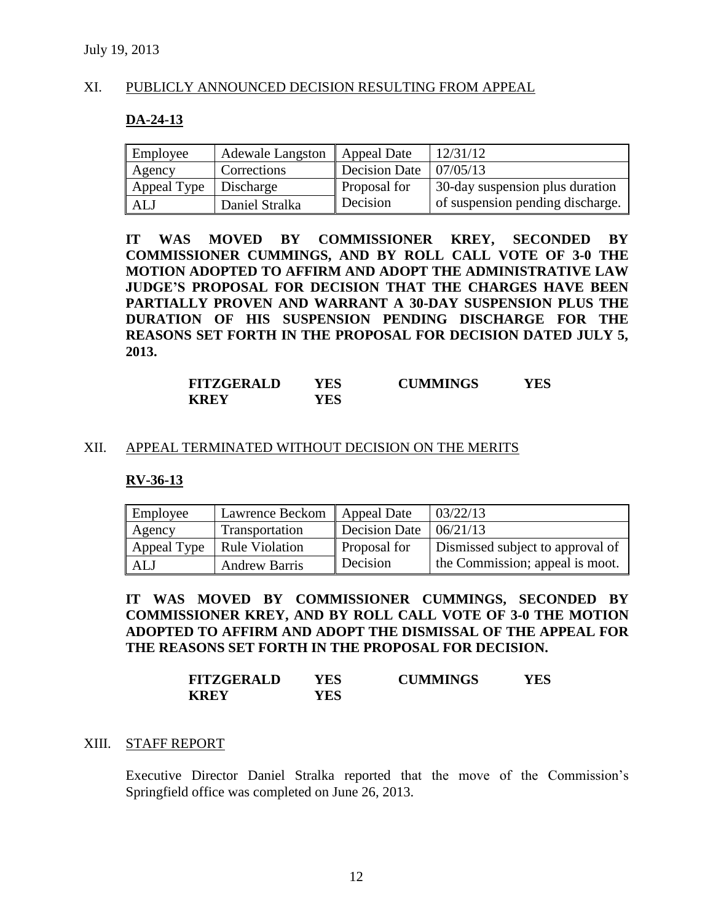## XI. PUBLICLY ANNOUNCED DECISION RESULTING FROM APPEAL

#### **DA-24-13**

| Employee    | <b>Adewale Langston</b> | <b>Appeal Date</b>   | 12/31/12                         |
|-------------|-------------------------|----------------------|----------------------------------|
| Agency      | Corrections             | <b>Decision Date</b> | 07/05/13                         |
| Appeal Type | Discharge               | Proposal for         | 30-day suspension plus duration  |
| ALJ         | Daniel Stralka          | Decision             | of suspension pending discharge. |

**IT WAS MOVED BY COMMISSIONER KREY, SECONDED BY COMMISSIONER CUMMINGS, AND BY ROLL CALL VOTE OF 3-0 THE MOTION ADOPTED TO AFFIRM AND ADOPT THE ADMINISTRATIVE LAW JUDGE'S PROPOSAL FOR DECISION THAT THE CHARGES HAVE BEEN PARTIALLY PROVEN AND WARRANT A 30-DAY SUSPENSION PLUS THE DURATION OF HIS SUSPENSION PENDING DISCHARGE FOR THE REASONS SET FORTH IN THE PROPOSAL FOR DECISION DATED JULY 5, 2013.**

| <b>FITZGERALD</b> | YES | <b>CUMMINGS</b> | YES |
|-------------------|-----|-----------------|-----|
| <b>KREY</b>       | YES |                 |     |

#### XII. APPEAL TERMINATED WITHOUT DECISION ON THE MERITS

#### **RV-36-13**

| Employee    | Lawrence Beckom       | <b>Appeal Date</b> | 03/22/13                         |
|-------------|-----------------------|--------------------|----------------------------------|
| Agency      | Transportation        | Decision Date      | 06/21/13                         |
| Appeal Type | <b>Rule Violation</b> | Proposal for       | Dismissed subject to approval of |
| ALJ         | <b>Andrew Barris</b>  | Decision           | the Commission; appeal is moot.  |

**IT WAS MOVED BY COMMISSIONER CUMMINGS, SECONDED BY COMMISSIONER KREY, AND BY ROLL CALL VOTE OF 3-0 THE MOTION ADOPTED TO AFFIRM AND ADOPT THE DISMISSAL OF THE APPEAL FOR THE REASONS SET FORTH IN THE PROPOSAL FOR DECISION.**

| <b>FITZGERALD</b> | YES | <b>CUMMINGS</b> | YES |
|-------------------|-----|-----------------|-----|
| <b>KREY</b>       | YES |                 |     |

#### XIII. STAFF REPORT

Executive Director Daniel Stralka reported that the move of the Commission's Springfield office was completed on June 26, 2013.